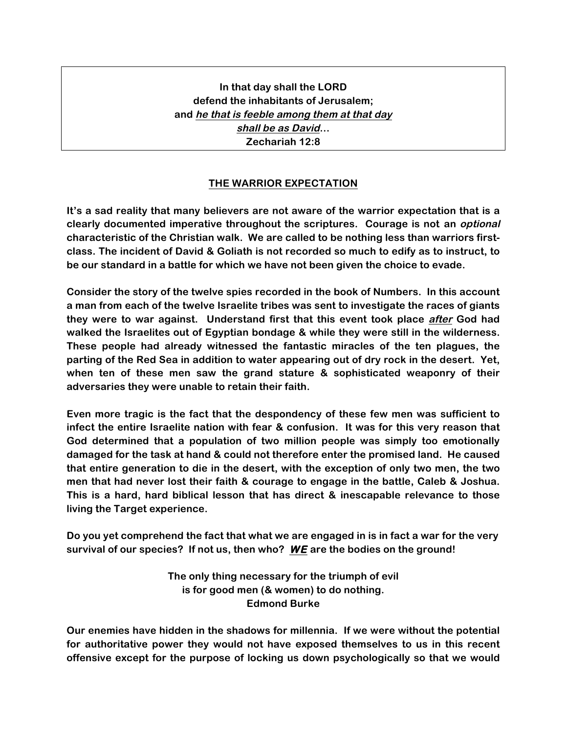**In that day shall the LORD defend the inhabitants of Jerusalem; and he that is feeble among them at that day shall be as David… Zechariah 12:8**

## **THE WARRIOR EXPECTATION**

**It's a sad reality that many believers are not aware of the warrior expectation that is a clearly documented imperative throughout the scriptures. Courage is not an optional characteristic of the Christian walk. We are called to be nothing less than warriors firstclass. The incident of David & Goliath is not recorded so much to edify as to instruct, to be our standard in a battle for which we have not been given the choice to evade.** 

**Consider the story of the twelve spies recorded in the book of Numbers. In this account a man from each of the twelve Israelite tribes was sent to investigate the races of giants they were to war against. Understand first that this event took place after God had walked the Israelites out of Egyptian bondage & while they were still in the wilderness. These people had already witnessed the fantastic miracles of the ten plagues, the parting of the Red Sea in addition to water appearing out of dry rock in the desert. Yet, when ten of these men saw the grand stature & sophisticated weaponry of their adversaries they were unable to retain their faith.** 

**Even more tragic is the fact that the despondency of these few men was sufficient to infect the entire Israelite nation with fear & confusion. It was for this very reason that God determined that a population of two million people was simply too emotionally damaged for the task at hand & could not therefore enter the promised land. He caused that entire generation to die in the desert, with the exception of only two men, the two men that had never lost their faith & courage to engage in the battle, Caleb & Joshua. This is a hard, hard biblical lesson that has direct & inescapable relevance to those living the Target experience.**

**Do you yet comprehend the fact that what we are engaged in is in fact a war for the very survival of our species? If not us, then who? WE are the bodies on the ground!** 

> **The only thing necessary for the triumph of evil is for good men (& women) to do nothing. Edmond Burke**

**Our enemies have hidden in the shadows for millennia. If we were without the potential for authoritative power they would not have exposed themselves to us in this recent offensive except for the purpose of locking us down psychologically so that we would**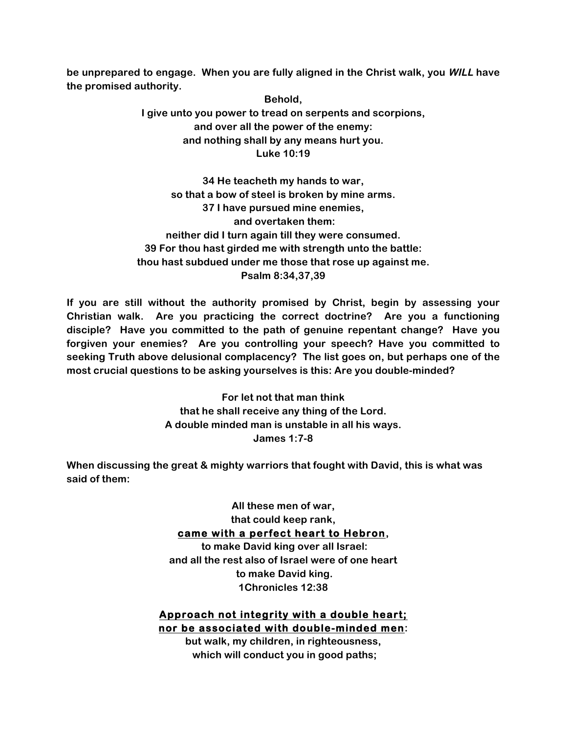**be unprepared to engage. When you are fully aligned in the Christ walk, you WILL have the promised authority.** 

> **Behold, I give unto you power to tread on serpents and scorpions, and over all the power of the enemy: and nothing shall by any means hurt you. Luke 10:19**

**34 He teacheth my hands to war, so that a bow of steel is broken by mine arms. 37 I have pursued mine enemies, and overtaken them: neither did I turn again till they were consumed. 39 For thou hast girded me with strength unto the battle: thou hast subdued under me those that rose up against me. Psalm 8:34,37,39**

**If you are still without the authority promised by Christ, begin by assessing your Christian walk. Are you practicing the correct doctrine? Are you a functioning disciple? Have you committed to the path of genuine repentant change? Have you forgiven your enemies? Are you controlling your speech? Have you committed to seeking Truth above delusional complacency? The list goes on, but perhaps one of the most crucial questions to be asking yourselves is this: Are you double-minded?**

> **For let not that man think that he shall receive any thing of the Lord. A double minded man is unstable in all his ways. James 1:7-8**

**When discussing the great & mighty warriors that fought with David, this is what was said of them:**

> **All these men of war, that could keep rank, came with a perfect heart to Hebron, to make David king over all Israel: and all the rest also of Israel were of one heart**

**to make David king. 1Chronicles 12:38**

**Approach not integrity with a double heart; nor be associated with double-minded men:** 

**but walk, my children, in righteousness, which will conduct you in good paths;**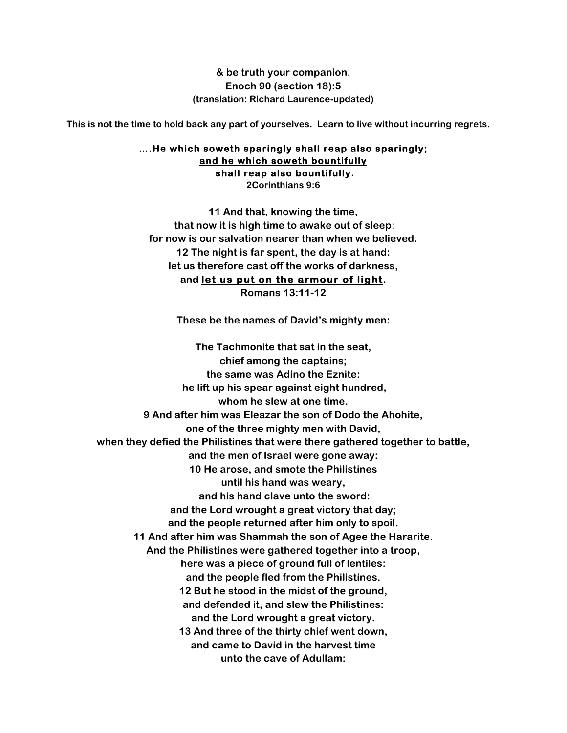**& be truth your companion. Enoch 90 (section 18):5 (translation: Richard Laurence-updated)**

**This is not the time to hold back any part of yourselves. Learn to live without incurring regrets.**

## **….He which soweth sparingly shall reap also sparingly; and he which soweth bountifully shall reap also bountifully. 2Corinthians 9:6**

**11 And that, knowing the time, that now it is high time to awake out of sleep: for now is our salvation nearer than when we believed. 12 The night is far spent, the day is at hand: let us therefore cast off the works of darkness, and let us put on the armour of light. Romans 13:11-12**

**These be the names of David's mighty men:** 

**The Tachmonite that sat in the seat, chief among the captains; the same was Adino the Eznite: he lift up his spear against eight hundred, whom he slew at one time. 9 And after him was Eleazar the son of Dodo the Ahohite, one of the three mighty men with David, when they defied the Philistines that were there gathered together to battle, and the men of Israel were gone away: 10 He arose, and smote the Philistines until his hand was weary, and his hand clave unto the sword: and the Lord wrought a great victory that day; and the people returned after him only to spoil. 11 And after him was Shammah the son of Agee the Hararite. And the Philistines were gathered together into a troop, here was a piece of ground full of lentiles: and the people fled from the Philistines. 12 But he stood in the midst of the ground, and defended it, and slew the Philistines: and the Lord wrought a great victory. 13 And three of the thirty chief went down, and came to David in the harvest time unto the cave of Adullam:**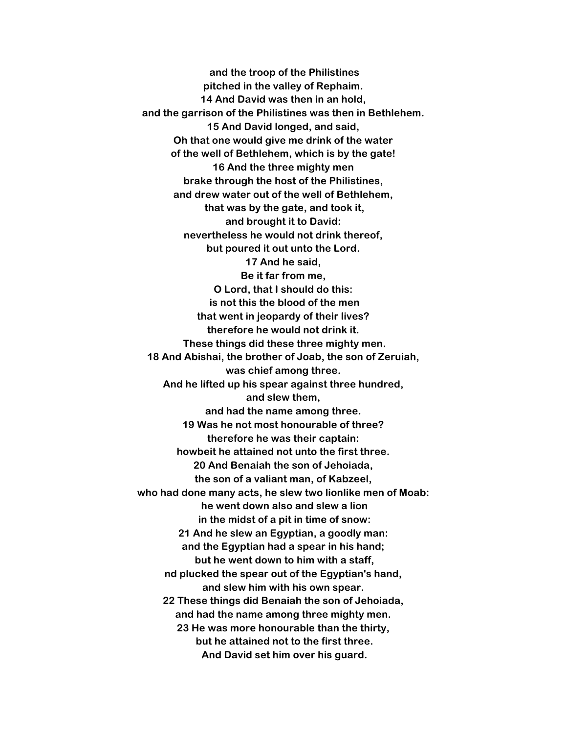**and the troop of the Philistines pitched in the valley of Rephaim. 14 And David was then in an hold, and the garrison of the Philistines was then in Bethlehem. 15 And David longed, and said, Oh that one would give me drink of the water of the well of Bethlehem, which is by the gate! 16 And the three mighty men brake through the host of the Philistines, and drew water out of the well of Bethlehem, that was by the gate, and took it, and brought it to David: nevertheless he would not drink thereof, but poured it out unto the Lord. 17 And he said, Be it far from me, O Lord, that I should do this: is not this the blood of the men that went in jeopardy of their lives? therefore he would not drink it. These things did these three mighty men. 18 And Abishai, the brother of Joab, the son of Zeruiah, was chief among three. And he lifted up his spear against three hundred, and slew them, and had the name among three. 19 Was he not most honourable of three? therefore he was their captain: howbeit he attained not unto the first three. 20 And Benaiah the son of Jehoiada, the son of a valiant man, of Kabzeel, who had done many acts, he slew two lionlike men of Moab: he went down also and slew a lion in the midst of a pit in time of snow: 21 And he slew an Egyptian, a goodly man: and the Egyptian had a spear in his hand; but he went down to him with a staff, nd plucked the spear out of the Egyptian's hand, and slew him with his own spear. 22 These things did Benaiah the son of Jehoiada, and had the name among three mighty men. 23 He was more honourable than the thirty, but he attained not to the first three. And David set him over his guard.**